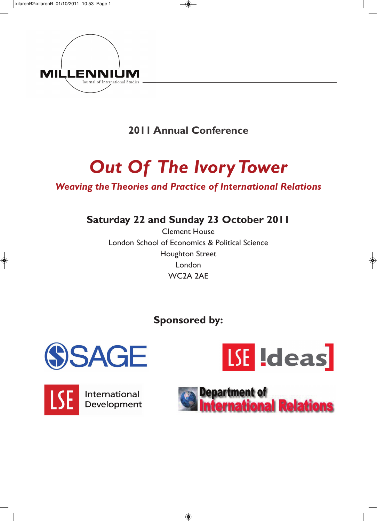

**2011 Annual Conference**

# *Out Of The Ivory Tower*

### *Weaving the Theories and Practice of International Relations*

**Saturday 22 and Sunday 23 October 2011**

Clement House London School of Economics & Political Science Houghton Street London WC2A 2AE

## **Sponsored by:**









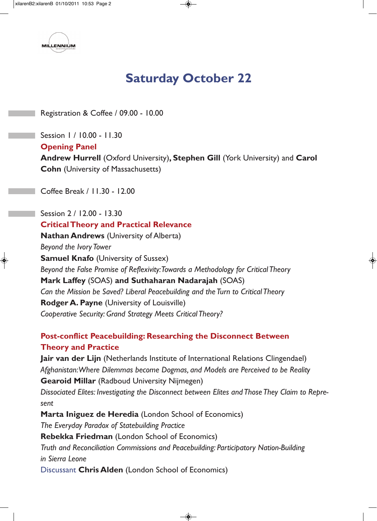

# **Saturday October 22**

Registration & Coffee / 09.00 - 10.00

Session 1 / 10.00 - 11.30 **Opening Panel Andrew Hurrell** (Oxford University)**, Stephen Gill** (York University) and **Carol Cohn** (University of Massachusetts)

Coffee Break / 11.30 - 12.00

Session 2 / 12.00 - 13.30 **Critical Theory and Practical Relevance Nathan Andrews** (University of Alberta) *Beyond the Ivory Tower* **Samuel Knafo** (University of Sussex) *Beyond the False Promise of Reflexivity: Towards a Methodology for Critical Theory* **Mark Laffey** (SOAS) **and Suthaharan Nadarajah** (SOAS) *Can the Mission be Saved? Liberal Peacebuilding and the Turn to Critical Theory* **Rodger A. Payne** (University of Louisville) *Cooperative Security: Grand Strategy Meets Critical Theory?*

#### **Post-conflict Peacebuilding: Researching the Disconnect Between Theory and Practice**

**Jair van der Lijn** (Netherlands Institute of International Relations Clingendael) *Afghanistan:Where Dilemmas become Dogmas, and Models are Perceived to be Reality* **Gearoid Millar** (Radboud University Nijmegen) *Dissociated Elites: Investigating the Disconnect between Elites and Those They Claim to Represent* **Marta Iniguez de Heredia** (London School of Economics) *The Everyday Paradox of Statebuilding Practice* **Rebekka Friedman** (London School of Economics) *Truth and Reconciliation Commissions and Peacebuilding: Participatory Nation-Building in Sierra Leone* Discussant **Chris Alden** (London School of Economics)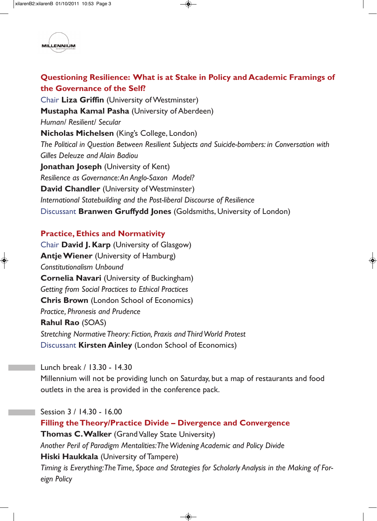

#### **Questioning Resilience: What is at Stake in Policy and Academic Framings of the Governance of the Self?**

Chair **Liza Griffin** (University of Westminster) **Mustapha Kamal Pasha** (University of Aberdeen) *Human/ Resilient/ Secular* **Nicholas Michelsen** (King's College, London) *The Political in Question Between Resilient Subjects and Suicide-bombers: in Conversation with Gilles Deleuze and Alain Badiou*  **Jonathan Joseph** (University of Kent) *Resilience as Governance: An Anglo-Saxon Model?* **David Chandler** (University of Westminster) *International Statebuilding and the Post-liberal Discourse of Resilience* Discussant **Branwen Gruffydd Jones** (Goldsmiths, University of London)

#### **Practice, Ethics and Normativity**

Chair **David J. Karp** (University of Glasgow) **Antje Wiener** (University of Hamburg) *Constitutionalism Unbound* **Cornelia Navari** (University of Buckingham) *Getting from Social Practices to Ethical Practices* **Chris Brown** (London School of Economics) *Practice, Phronesis and Prudence* **Rahul Rao** (SOAS) *Stretching Normative Theory: Fiction, Praxis and Third World Protest* Discussant **Kirsten Ainley** (London School of Economics)

Lunch break / 13.30 - 14.30

Millennium will not be providing lunch on Saturday, but a map of restaurants and food outlets in the area is provided in the conference pack.

Session 3 / 14.30 - 16.00

**Filling the Theory/Practice Divide – Divergence and Convergence Thomas C. Walker** (Grand Valley State University) *Another Peril of Paradigm Mentalities: The Widening Academic and Policy Divide* **Hiski Haukkala** (University of Tampere) *Timing is Everything: The Time, Space and Strategies for Scholarly Analysis in the Making of Foreign Policy*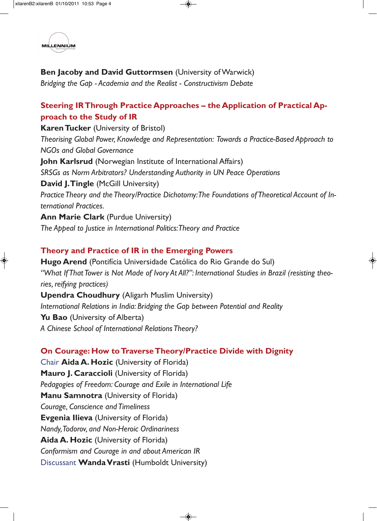

#### **Ben Jacoby and David Guttormsen** (University of Warwick)

*Bridging the Gap - Academia and the Realist - Constructivism Debate*

#### **Steering IR Through Practice Approaches – the Application of Practical Approach to the Study of IR**

**Karen Tucker** (University of Bristol) *Theorising Global Power, Knowledge and Representation: Towards a Practice-Based Approach to NGOs and Global Governance* **John Karlsrud** (Norwegian Institute of International Affairs) *SRSGs as Norm Arbitrators? Understanding Authority in UN Peace Operations* **David J. Tingle (McGill University)** *Practice Theory and the Theory/Practice Dichotomy: The Foundations of Theoretical Account of International Practices.* **Ann Marie Clark** (Purdue University)

*The Appeal to Justice in International Politics: Theory and Practice*

#### **Theory and Practice of IR in the Emerging Powers**

**Hugo Arend** (Pontifícia Universidade Católica do Rio Grande do Sul) *"What If That Tower is Not Made of Ivory At All?": International Studies in Brazil (resisting theories, reifying practices)*  **Upendra Choudhury** (Aligarh Muslim University) *International Relations in India: Bridging the Gap between Potential and Reality* **Yu Bao** (University of Alberta) *A Chinese School of International Relations Theory?*

**On Courage: How to Traverse Theory/Practice Divide with Dignity** Chair **Aida A. Hozic** (University of Florida) **Mauro J. Caraccioli** (University of Florida) *Pedagogies of Freedom: Courage and Exile in International Life* **Manu Samnotra** (University of Florida) *Courage, Conscience and Timeliness* **Evgenia Ilieva** (University of Florida) *Nandy, Todorov, and Non-Heroic Ordinariness* **Aida A. Hozic** (University of Florida) *Conformism and Courage in and about American IR*

Discussant **Wanda Vrasti** (Humboldt University)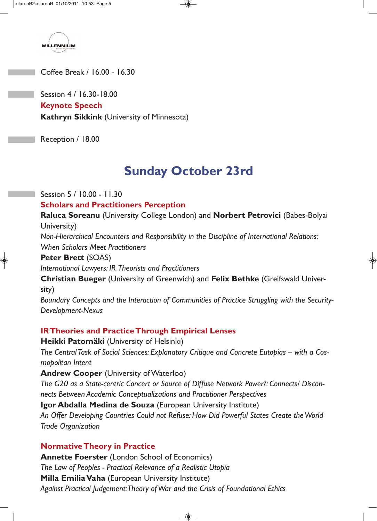

Coffee Break / 16.00 - 16.30

Session 4 / 16.30-18.00 **Keynote Speech Kathryn Sikkink** (University of Minnesota)

Reception / 18.00

## **Sunday October 23rd**

Session 5 / 10.00 - 11.30

**Scholars and Practitioners Perception**

**Raluca Soreanu** (University College London) and **Norbert Petrovici** (Babes-Bolyai University)

*Non-Hierarchical Encounters and Responsibility in the Discipline of International Relations: When Scholars Meet Practitioners*

#### **Peter Brett** (SOAS)

*International Lawyers: IR Theorists and Practitioners*

**Christian Bueger** (University of Greenwich) and **Felix Bethke** (Greifswald University)

*Boundary Concepts and the Interaction of Communities of Practice Struggling with the Security-Development-Nexus*

#### **IR Theories and Practice Through Empirical Lenses**

**Heikki Patomäki** (University of Helsinki) *The Central Task of Social Sciences: Explanatory Critique and Concrete Eutopias -- with a Cosmopolitan Intent* 

**Andrew Cooper** (University of Waterloo)

*The G20 as a State-centric Concert or Source of Diffuse Network Power?: Connects/ Disconnects Between Academic Conceptualizations and Practitioner Perspectives*

**Igor Abdalla Medina de Souza** (European University Institute)

*An Offer Developing Countries Could not Refuse: How Did Powerful States Create the World Trade Organization*

#### **Normative Theory in Practice**

**Annette Foerster** (London School of Economics) *The Law of Peoples - Practical Relevance of a Realistic Utopia* **Milla Emilia Vaha** (European University Institute) *Against Practical Judgement: Theory of War and the Crisis of Foundational Ethics*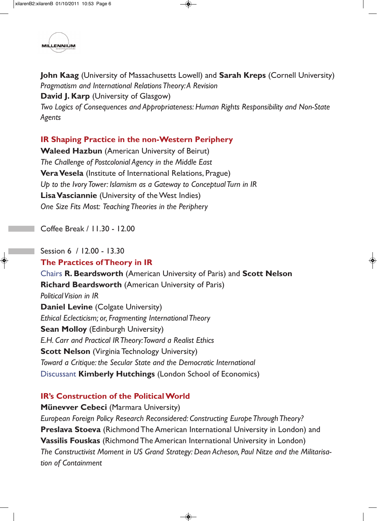

**John Kaag** (University of Massachusetts Lowell) and **Sarah Kreps** (Cornell University) *Pragmatism and International Relations Theory: A Revision* **David J. Karp** (University of Glasgow) *Two Logics of Consequences and Appropriateness: Human Rights Responsibility and Non-State Agents* 

#### **IR Shaping Practice in the non-Western Periphery**

**Waleed Hazbun** (American University of Beirut) *The Challenge of Postcolonial Agency in the Middle East* **Vera Vesela** (Institute of International Relations, Prague) *Up to the Ivory Tower: Islamism as a Gateway to Conceptual Turn in IR* **Lisa Vasciannie** (University of the West Indies) *One Size Fits Most: Teaching Theories in the Periphery*

Coffee Break / 11.30 - 12.00

#### Session 6 / 12.00 - 13.30 **The Practices of Theory in IR**

Chairs **R. Beardsworth** (American University of Paris) and **Scott Nelson Richard Beardsworth** (American University of Paris) *Political Vision in IR*  **Daniel Levine** (Colgate University) *Ethical Eclecticism; or, Fragmenting International Theory* **Sean Molloy (Edinburgh University)** *E.H. Carr and Practical IR Theory: Toward a Realist Ethics*  **Scott Nelson** (Virginia Technology University) *Toward a Critique: the Secular State and the Democratic International*  Discussant **Kimberly Hutchings** (London School of Economics)

#### **IR's Construction of the Political World**

**Münevver Cebeci** (Marmara University) *European Foreign Policy Research Reconsidered: Constructing Europe Through Theory?* **Preslava Stoeva** (Richmond The American International University in London) and **Vassilis Fouskas** (Richmond The American International University in London) *The Constructivist Moment in US Grand Strategy: Dean Acheson, Paul Nitze and the Militarisation of Containment*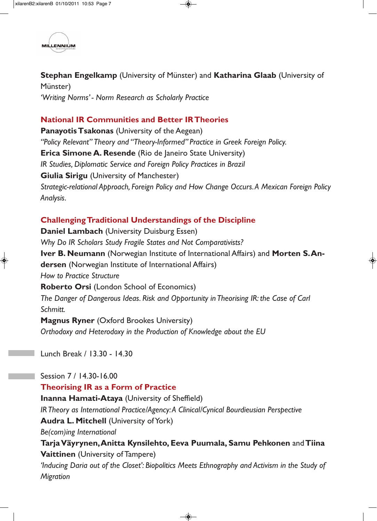

**Stephan Engelkamp** (University of Münster) and **Katharina Glaab** (University of Münster) *'Writing Norms' - Norm Research as Scholarly Practice*

#### **National IR Communities and Better IR Theories**

**Panayotis Tsakonas** (University of the Aegean) *"Policy Relevant" Theory and "Theory-Informed" Practice in Greek Foreign Policy.*  **Erica Simone A. Resende** (Rio de Janeiro State University) *IR Studies, Diplomatic Service and Foreign Policy Practices in Brazil* **Giulia Sirigu** (University of Manchester) *Strategic-relational Approach, Foreign Policy and How Change Occurs. A Mexican Foreign Policy Analysis.*

#### **Challenging Traditional Understandings of the Discipline**

**Daniel Lambach** (University Duisburg Essen) *Why Do IR Scholars Study Fragile States and Not Comparativists?* **Iver B. Neumann** (Norwegian Institute of International Affairs) and **Morten S. Andersen** (Norwegian Institute of International Affairs) *How to Practice Structure* **Roberto Orsi** (London School of Economics) *The Danger of Dangerous Ideas. Risk and Opportunity in Theorising IR: the Case of Carl Schmitt.* **Magnus Ryner** (Oxford Brookes University)

*Orthodoxy and Heterodoxy in the Production of Knowledge about the EU*

Lunch Break / 13.30 - 14.30

Session 7 / 14.30-16.00 **Theorising IR as a Form of Practice Inanna Hamati-Ataya** (University of Sheffield) *IR Theory as International Practice/Agency: A Clinical/Cynical Bourdieusian Perspective* **Audra L. Mitchell** (University of York) *Be(com)ing International* **Tarja Väyrynen, Anitta Kynsilehto, Eeva Puumala, Samu Pehkonen** and**Tiina Vaittinen** (University of Tampere) *'Inducing Daria out of the Closet': Biopolitics Meets Ethnography and Activism in the Study of Migration*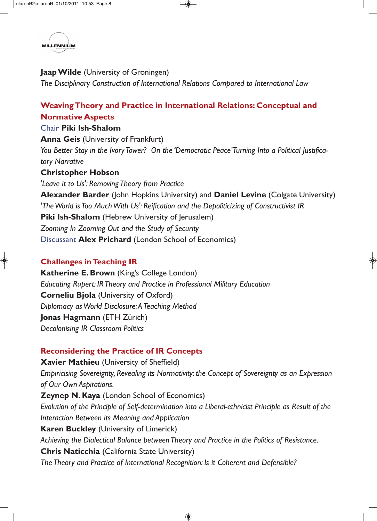

**Jaap Wilde** (University of Groningen) *The Disciplinary Construction of International Relations Compared to International Law*

#### **Weaving Theory and Practice in International Relations: Conceptual and Normative Aspects**

#### Chair **Piki Ish-Shalom**

**Anna Geis (University of Frankfurt)** *You Better Stay in the Ivory Tower? On the 'Democratic Peace' Turning Into a Political Justificatory Narrative*

#### **Christopher Hobson**

*'Leave it to Us': Removing Theory from Practice* **Alexander Barder** (John Hopkins University) and **Daniel Levine** (Colgate University) *'The World is Too Much With Us': Reification and the Depoliticizing of Constructivist IR* **Piki Ish-Shalom** (Hebrew University of Jerusalem) *Zooming In Zooming Out and the Study of Security* Discussant **Alex Prichard** (London School of Economics)

#### **Challenges in Teaching IR**

**Katherine E. Brown** (King's College London) *Educating Rupert: IR Theory and Practice in Professional Military Education*  **Corneliu Bjola** (University of Oxford) *Diplomacy as World Disclosure: A Teaching Method* **Jonas Hagmann** (ETH Zürich) *Decolonising IR Classroom Politics*

#### **Reconsidering the Practice of IR Concepts**

**Xavier Mathieu** (University of Sheffield) *Empiricising Sovereignty, Revealing its Normativity: the Concept of Sovereignty as an Expression of Our Own Aspirations.* **Zeynep N. Kaya** (London School of Economics) *Evolution of the Principle of Self-determination into a Liberal-ethnicist Principle as Result of the Interaction Between its Meaning and Application* **Karen Buckley** (University of Limerick) *Achieving the Dialectical Balance between Theory and Practice in the Politics of Resistance.* **Chris Naticchia** (California State University) *The Theory and Practice of International Recognition: Is it Coherent and Defensible?*